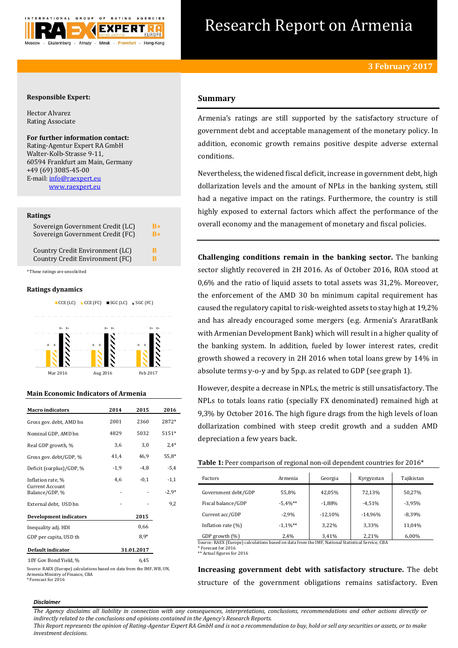

# Research Report on Armenia

# **Responsible Expert:**

Hector Alvarez Rating Associate

**For further information contact:** Rating-Agentur Expert RA GmbH Walter-Kolb-Strasse 9-11, 60594 Frankfurt am Main, Germany +49 (69) 3085-45-00 E-mail[: info@raexpert.eu](mailto:info@raexpert.eu) [www.raexpert.eu](http://raexpert.eu/)

## **Ratings**

| Sovereign Government Credit (LC) | B+   |
|----------------------------------|------|
| Sovereign Government Credit (FC) | $B+$ |
| Country Credit Environment (LC)  | в    |
| Country Credit Environment (FC)  | R    |

\* These ratings are unsolicited

# **Ratings dynamics**



# **Main Economic Indicators of Armenia**

| <b>Macro</b> indicators           | 2014   | 2015       | 2016    |
|-----------------------------------|--------|------------|---------|
| Gross gov. debt, AMD bn           | 2001   | 2360       | 2872*   |
| Nominal GDP, AMD bn               | 4829   | 5032       | 5151*   |
| Real GDP growth, %                | 3,6    | 3,0        | $2.4*$  |
| Gross gov. debt/GDP, %            | 41,4   | 46,9       | 55,8*   |
| Deficit (surplus)/GDP, %          | $-1,9$ | -4,8       | $-5,4$  |
| Inflation rate, %                 | 4,6    | $-0,1$     | $-1,1$  |
| Current Account<br>Balance/GDP, % |        |            | $-2.9*$ |
| External debt, USD bn             |        |            | 9,2     |
| Development indicators            |        | 2015       |         |
| Inequality adj. HDI               |        | 0,66       |         |
| GDP per capita, USD th            |        | $8.9*$     |         |
| Default indicator                 |        | 31.01.2017 |         |
| 10Y Gov Bond Yield, %             |        | 6,45       |         |

Source: RAEX (Europe) calculations based on data from the IMF, WB, UN, Armenia Ministry of Finance, CBA \* Forecast for 2016

# **Summary**

Armenia's ratings are still supported by the satisfactory structure of government debt and acceptable management of the monetary policy. In addition, economic growth remains positive despite adverse external conditions.

Nevertheless, the widened fiscal deficit, increase in government debt, high dollarization levels and the amount of NPLs in the banking system, still had a negative impact on the ratings. Furthermore, the country is still highly exposed to external factors which affect the performance of the overall economy and the management of monetary and fiscal policies.

**Challenging conditions remain in the banking sector.** The banking sector slightly recovered in 2H 2016. As of October 2016, ROA stood at 0,6% and the ratio of liquid assets to total assets was 31,2%. Moreover, the enforcement of the AMD 30 bn minimum capital requirement has caused the regulatory capital to risk-weighted assets to stay high at 19,2% and has already encouraged some mergers (e.g. Armenia's AraratBank with Armenian Development Bank) which will result in a higher quality of the banking system. In addition, fueled by lower interest rates, credit growth showed a recovery in 2H 2016 when total loans grew by 14% in absolute terms y-o-y and by 5p.p. as related to GDP (see graph 1).

However, despite a decrease in NPLs, the metric is still unsatisfactory. The NPLs to totals loans ratio (specially FX denominated) remained high at 9,3% by October 2016. The high figure drags from the high levels of loan dollarization combined with steep credit growth and a sudden AMD depreciation a few years back.

| Table 1: Peer comparison of regional non-oil dependent countries for 2016* |  |  |
|----------------------------------------------------------------------------|--|--|
|----------------------------------------------------------------------------|--|--|

| Factors               | Armenia     | Georgia   | Kyrgyzstan | Tajikistan |
|-----------------------|-------------|-----------|------------|------------|
| Government debt/GDP   | 55,8%       | 42,05%    | 72,13%     | 50.27%     |
| Fiscal balance/GDP    | $-5.4%$ **  | $-1,88%$  | $-4.51%$   | $-3.95%$   |
| Current acc/GDP       | $-2.9%$     | $-12,10%$ | $-14.96%$  | $-8.39%$   |
| Inflation rate $(\%)$ | $-1.1\%$ ** | 3.22%     | 3,33%      | 11.04%     |
| GDP growth (%)        | 2,4%        | 3,41%     | 2.21%      | 6,00%      |

GDP growth (%) 2,4% 3,41% 2,21% 6,00%<br>Source: RAEX (Europe) calculations based on data from the IMF, National Statistical Service, CBA \* Forecast for 2016 \*\* Actual figures for 2016

**Increasing government debt with satisfactory structure.** The debt structure of the government obligations remains satisfactory. Even

#### *Disclaimer*

*The Agency disclaims all liability in connection with any consequences, interpretations, conclusions, recommendations and other actions directly or indirectly related to the conclusions and opinions contained in the Agency's Research Reports.*

*This Report represents the opinion of Rating-Agentur Expert RA GmbH and is not a recommendation to buy, hold or sell any securities or assets, or to make investment decisions.*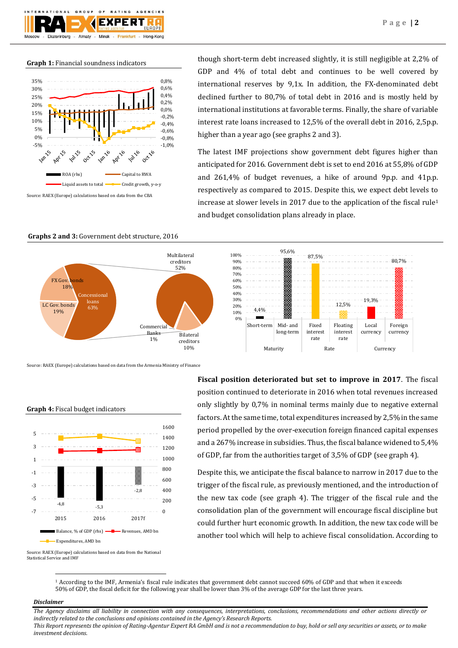

#### **Graph 1:** Financial soundness indicators



though short-term debt increased slightly, it is still negligible at 2,2% of GDP and 4% of total debt and continues to be well covered by international reserves by 9,1x. In addition, the FX-denominated debt declined further to 80,7% of total debt in 2016 and is mostly held by international institutions at favorable terms. Finally, the share of variable interest rate loans increased to 12,5% of the overall debt in 2016, 2,5p.p. higher than a year ago (see graphs 2 and 3).

The latest IMF projections show government debt figures higher than anticipated for 2016. Government debt is set to end 2016 at 55,8% of GDP and 261,4% of budget revenues, a hike of around 9p.p. and 41p.p. respectively as compared to 2015. Despite this, we expect debt levels to increase at slower levels in 2017 due to the application of the fiscal rule<sup>1</sup> and budget consolidation plans already in place.

87,5%

Fixed interest rate

12,5%

Floating interest rate

Maturity Rate Currency

19,3%

Local currency 80,7%

Foreign currency

95,6%

Short-term Mid- and

long-term

**Graphs 2 and 3:** Government debt structure, 2016



Source: RAEX (Europe) calculations based on data from the Armenia Ministry of Finance

## **Graph 4:** Fiscal budget indicators

![](_page_1_Figure_10.jpeg)

**Fiscal position deteriorated but set to improve in 2017**. The fiscal position continued to deteriorate in 2016 when total revenues increased only slightly by 0,7% in nominal terms mainly due to negative external factors. At the same time, total expenditures increased by 2,5% in the same period propelled by the over-execution foreign financed capital expenses and a 267% increase in subsidies. Thus, the fiscal balance widened to 5,4% of GDP, far from the authorities target of 3,5% of GDP (see graph 4).

Despite this, we anticipate the fiscal balance to narrow in 2017 due to the trigger of the fiscal rule, as previously mentioned, and the introduction of the new tax code (see graph 4). The trigger of the fiscal rule and the consolidation plan of the government will encourage fiscal discipline but could further hurt economic growth. In addition, the new tax code will be another tool which will help to achieve fiscal consolidation. According to

Source: RAEX (Europe) calculations based on data from the National Statistical Service and IMF

> <sup>1</sup> According to the IMF, Armenia's fiscal rule indicates that government debt cannot succeed 60% of GDP and that when it exceeds 50% of GDP, the fiscal deficit for the following year shall be lower than 3% of the average GDP for the last three years.

0% 10% 20% 30%  $4.00%$ 50% 60% 70% 80% 90% 100%

## *Disclaimer*

 $\overline{a}$ 

*The Agency disclaims all liability in connection with any consequences, interpretations, conclusions, recommendations and other actions directly or indirectly related to the conclusions and opinions contained in the Agency's Research Reports. This Report represents the opinion of Rating-Agentur Expert RA GmbH and is not a recommendation to buy, hold or sell any securities or assets, or to make investment decisions.*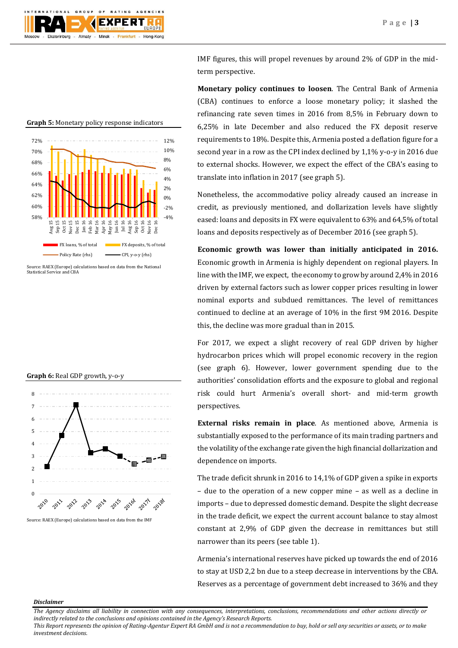![](_page_2_Picture_1.jpeg)

-4% -2% 0% 2% 4% 6% 8% 10% 12% 58% 60% 62% 64% 66% 68% 70% 72%  $\mathbf{u}$ g Sep 15 Oct 15 Nov 15 Dec 15<br>Jan 16<br>Reb 16<br>Apr 16<br>Aug 16<br>Aug 16<br>Oct 16<br>Nov 16<br>Dec 16 FX loans, % of total FX deposits, % of total Policy Rate (rhs)  $Q_1$ , y-o-y (rhs)

**Graph 5:** Monetary policy response indicators

![](_page_2_Figure_5.jpeg)

![](_page_2_Figure_6.jpeg)

Source: RAEX (Europe) calculations based on data from the IMF

IMF figures, this will propel revenues by around 2% of GDP in the midterm perspective.

**Monetary policy continues to loosen**. The Central Bank of Armenia (CBA) continues to enforce a loose monetary policy; it slashed the refinancing rate seven times in 2016 from 8,5% in February down to 6,25% in late December and also reduced the FX deposit reserve requirements to 18%. Despite this, Armenia posted a deflation figure for a second year in a row as the CPI index declined by 1,1% y-o-y in 2016 due to external shocks. However, we expect the effect of the CBA's easing to translate into inflation in 2017 (see graph 5).

Nonetheless, the accommodative policy already caused an increase in credit, as previously mentioned, and dollarization levels have slightly eased: loans and deposits in FX were equivalent to 63% and 64,5% of total loans and deposits respectively as of December 2016 (see graph 5).

**Economic growth was lower than initially anticipated in 2016.**  Economic growth in Armenia is highly dependent on regional players. In line with the IMF, we expect, the economy to grow by around 2,4% in 2016 driven by external factors such as lower copper prices resulting in lower nominal exports and subdued remittances. The level of remittances continued to decline at an average of 10% in the first 9M 2016. Despite this, the decline was more gradual than in 2015.

For 2017, we expect a slight recovery of real GDP driven by higher hydrocarbon prices which will propel economic recovery in the region (see graph 6). However, lower government spending due to the authorities' consolidation efforts and the exposure to global and regional risk could hurt Armenia's overall short- and mid-term growth perspectives.

**External risks remain in place**. As mentioned above, Armenia is substantially exposed to the performance of its main trading partners and the volatility of the exchange rate given the high financial dollarization and dependence on imports.

The trade deficit shrunk in 2016 to 14,1% of GDP given a spike in exports – due to the operation of a new copper mine – as well as a decline in imports – due to depressed domestic demand. Despite the slight decrease in the trade deficit, we expect the current account balance to stay almost constant at 2,9% of GDP given the decrease in remittances but still narrower than its peers (see table 1).

Armenia's international reserves have picked up towards the end of 2016 to stay at USD 2,2 bn due to a steep decrease in interventions by the CBA. Reserves as a percentage of government debt increased to 36% and they

#### *Disclaimer*

*The Agency disclaims all liability in connection with any consequences, interpretations, conclusions, recommendations and other actions directly or indirectly related to the conclusions and opinions contained in the Agency's Research Reports.*

*This Report represents the opinion of Rating-Agentur Expert RA GmbH and is not a recommendation to buy, hold or sell any securities or assets, or to make investment decisions.*

Source: RAEX (Europe) calculations based on data from the National Statistical Service and CBA